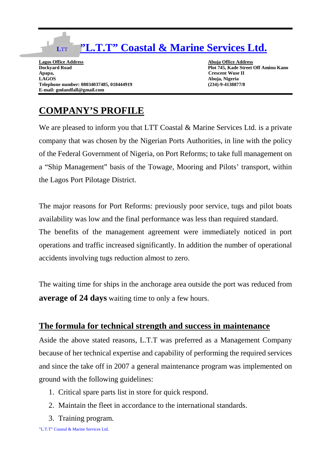## **"L.T.T" Coastal & Marine Services Ltd.**

**Lagos Office Address Abuja Office Address Abuja Office Address Abuja Office Address Abuja Office Address Abuja Office Address Abuja Office Address Abuja Office Address Abuja Office Address Abuja Office Address Abuja Offic Apapa, Crescent Wuse II** Telephone number: 08034037485, 018444919 **E-mail: gmlandfall@gmail.com**

**L**TT

Plot 745, Kade Street Off Aminu Kano **LAGOS Abuja, Nigeria**

## **COMPANY'S PROFILE**

We are pleased to inform you that LTT Coastal & Marine Services Ltd. is a private company that was chosen by the Nigerian Ports Authorities, in line with the policy of the Federal Government of Nigeria, on Port Reforms; to take full management on a "Ship Management" basis of the Towage, Mooring and Pilots' transport, within the Lagos Port Pilotage District.

The major reasons for Port Reforms: previously poor service, tugs and pilot boats availability was low and the final performance was less than required standard. The benefits of the management agreement were immediately noticed in port operations and traffic increased significantly. In addition the number of operational accidents involving tugs reduction almost to zero.

The waiting time for ships in the anchorage area outside the port was reduced from **average of 24 days** waiting time to only a few hours.

## **The formula for technical strength and success in maintenance**

Aside the above stated reasons, L.T.T was preferred as a Management Company because of her technical expertise and capability of performing the required services and since the take off in 2007 a general maintenance program was implemented on ground with the following guidelines:

- 1. Critical spare parts list in store for quick respond.
- 2. Maintain the fleet in accordance to the international standards.
- 3. Training program.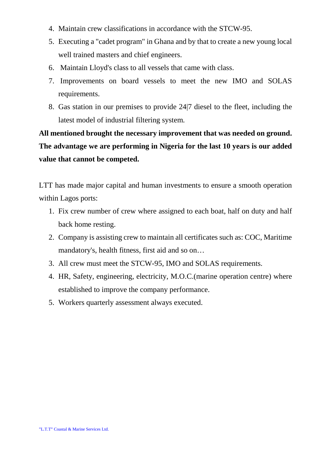- 4. Maintain crew classifications in accordance with the STCW-95.
- 5. Executing a "cadet program" in Ghana and by that to create a new young local well trained masters and chief engineers.
- 6. Maintain Lloyd's class to all vessels that came with class.
- 7. Improvements on board vessels to meet the new IMO and SOLAS requirements.
- 8. Gas station in our premises to provide 24|7 diesel to the fleet, including the latest model of industrial filtering system.

**All mentioned brought the necessary improvement that was needed on ground. The advantage we are performing in Nigeria for the last 10 years is our added value that cannot be competed.** 

LTT has made major capital and human investments to ensure a smooth operation within Lagos ports:

- 1. Fix crew number of crew where assigned to each boat, half on duty and half back home resting.
- 2. Company is assisting crew to maintain all certificates such as: COC, Maritime mandatory's, health fitness, first aid and so on…
- 3. All crew must meet the STCW-95, IMO and SOLAS requirements.
- 4. HR, Safety, engineering, electricity, M.O.C.(marine operation centre) where established to improve the company performance.
- 5. Workers quarterly assessment always executed.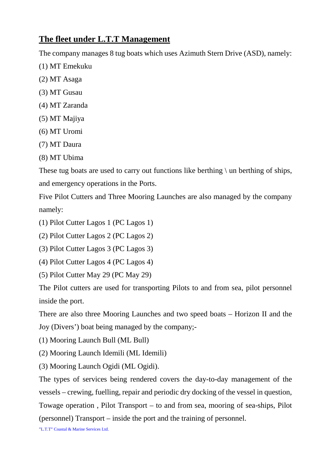## **The fleet under L.T.T Management**

The company manages 8 tug boats which uses Azimuth Stern Drive (ASD), namely:

- (1) MT Emekuku
- (2) MT Asaga
- (3) MT Gusau
- (4) MT Zaranda
- (5) MT Majiya
- (6) MT Uromi
- (7) MT Daura
- (8) MT Ubima

These tug boats are used to carry out functions like berthing  $\langle$  un berthing of ships, and emergency operations in the Ports.

Five Pilot Cutters and Three Mooring Launches are also managed by the company namely:

- (1) Pilot Cutter Lagos 1 (PC Lagos 1)
- (2) Pilot Cutter Lagos 2 (PC Lagos 2)
- (3) Pilot Cutter Lagos 3 (PC Lagos 3)
- (4) Pilot Cutter Lagos 4 (PC Lagos 4)
- (5) Pilot Cutter May 29 (PC May 29)

The Pilot cutters are used for transporting Pilots to and from sea, pilot personnel inside the port.

There are also three Mooring Launches and two speed boats – Horizon II and the Joy (Divers') boat being managed by the company;-

- (1) Mooring Launch Bull (ML Bull)
- (2) Mooring Launch Idemili (ML Idemili)
- (3) Mooring Launch Ogidi (ML Ogidi).

The types of services being rendered covers the day-to-day management of the vessels – crewing, fuelling, repair and periodic dry docking of the vessel in question, Towage operation , Pilot Transport – to and from sea, mooring of sea-ships, Pilot (personnel) Transport – inside the port and the training of personnel.